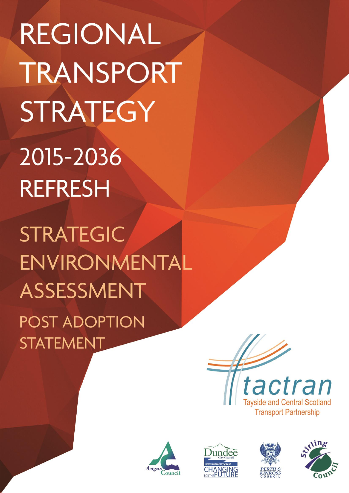REGIONAL TRANSPORT STRATEGY 2015-2036 **REFRESH STRATEGIC** 

ENVIRONMENTAL ASSESSMENT POST ADOPTION **STATEMENT** 









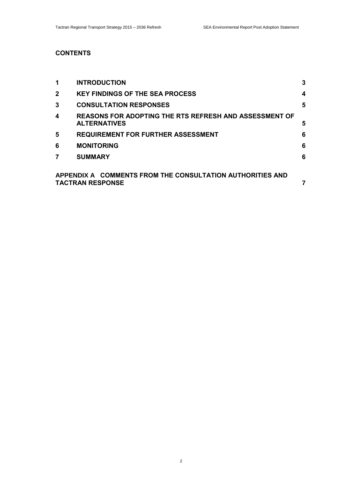# **CONTENTS**

| 1                                                                                    | <b>INTRODUCTION</b>                                                                  | $\mathbf{3}$ |
|--------------------------------------------------------------------------------------|--------------------------------------------------------------------------------------|--------------|
| $\mathbf{2}$                                                                         | <b>KEY FINDINGS OF THE SEA PROCESS</b>                                               | 4            |
| 3                                                                                    | <b>CONSULTATION RESPONSES</b>                                                        | 5            |
| 4                                                                                    | <b>REASONS FOR ADOPTING THE RTS REFRESH AND ASSESSMENT OF</b><br><b>ALTERNATIVES</b> | 5            |
| 5                                                                                    | <b>REQUIREMENT FOR FURTHER ASSESSMENT</b>                                            | 6            |
| 6                                                                                    | <b>MONITORING</b>                                                                    | 6            |
| 7                                                                                    | <b>SUMMARY</b>                                                                       | 6            |
| APPENDIX A COMMENTS FROM THE CONSULTATION AUTHORITIES AND<br><b>TACTRAN RESPONSE</b> |                                                                                      |              |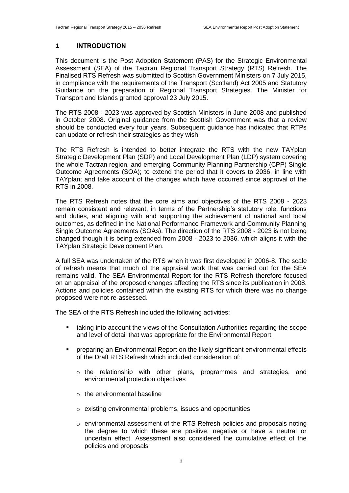#### **1 INTRODUCTION**

This document is the Post Adoption Statement (PAS) for the Strategic Environmental Assessment (SEA) of the Tactran Regional Transport Strategy (RTS) Refresh. The Finalised RTS Refresh was submitted to Scottish Government Ministers on 7 July 2015, in compliance with the requirements of the Transport (Scotland) Act 2005 and Statutory Guidance on the preparation of Regional Transport Strategies. The Minister for Transport and Islands granted approval 23 July 2015.

The RTS 2008 - 2023 was approved by Scottish Ministers in June 2008 and published in October 2008. Original guidance from the Scottish Government was that a review should be conducted every four years. Subsequent guidance has indicated that RTPs can update or refresh their strategies as they wish.

The RTS Refresh is intended to better integrate the RTS with the new TAYplan Strategic Development Plan (SDP) and Local Development Plan (LDP) system covering the whole Tactran region, and emerging Community Planning Partnership (CPP) Single Outcome Agreements (SOA); to extend the period that it covers to 2036, in line with TAYplan; and take account of the changes which have occurred since approval of the RTS in 2008.

The RTS Refresh notes that the core aims and objectives of the RTS 2008 - 2023 remain consistent and relevant, in terms of the Partnership's statutory role, functions and duties, and aligning with and supporting the achievement of national and local outcomes, as defined in the National Performance Framework and Community Planning Single Outcome Agreements (SOAs). The direction of the RTS 2008 - 2023 is not being changed though it is being extended from 2008 - 2023 to 2036, which aligns it with the TAYplan Strategic Development Plan.

A full SEA was undertaken of the RTS when it was first developed in 2006-8. The scale of refresh means that much of the appraisal work that was carried out for the SEA remains valid. The SEA Environmental Report for the RTS Refresh therefore focused on an appraisal of the proposed changes affecting the RTS since its publication in 2008. Actions and policies contained within the existing RTS for which there was no change proposed were not re-assessed.

The SEA of the RTS Refresh included the following activities:

- taking into account the views of the Consultation Authorities regarding the scope and level of detail that was appropriate for the Environmental Report
- preparing an Environmental Report on the likely significant environmental effects of the Draft RTS Refresh which included consideration of:
	- o the relationship with other plans, programmes and strategies, and environmental protection objectives
	- o the environmental baseline
	- o existing environmental problems, issues and opportunities
	- $\circ$  environmental assessment of the RTS Refresh policies and proposals noting the degree to which these are positive, negative or have a neutral or uncertain effect. Assessment also considered the cumulative effect of the policies and proposals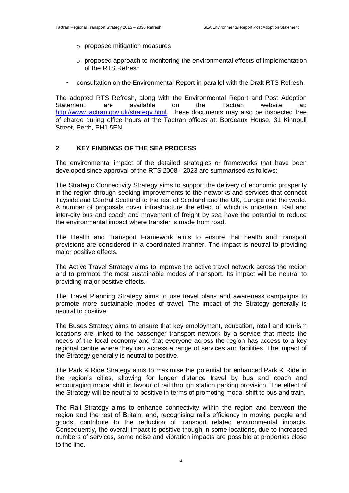- o proposed mitigation measures
- o proposed approach to monitoring the environmental effects of implementation of the RTS Refresh
- **EXEDENT CONSULTERTION CONSULTERT** CONSUltation on the Environmental Report in parallel with the Draft RTS Refresh.

The adopted RTS Refresh, along with the Environmental Report and Post Adoption Statement, are available on the Tactran website at: [http://www.tactran.gov.uk/strategy.html.](http://www.tactran.gov.uk/strategy.html) These documents may also be inspected free of charge during office hours at the Tactran offices at: Bordeaux House, 31 Kinnoull Street, Perth, PH1 5EN.

#### **2 KEY FINDINGS OF THE SEA PROCESS**

The environmental impact of the detailed strategies or frameworks that have been developed since approval of the RTS 2008 - 2023 are summarised as follows:

The Strategic Connectivity Strategy aims to support the delivery of economic prosperity in the region through seeking improvements to the networks and services that connect Tayside and Central Scotland to the rest of Scotland and the UK, Europe and the world. A number of proposals cover infrastructure the effect of which is uncertain. Rail and inter-city bus and coach and movement of freight by sea have the potential to reduce the environmental impact where transfer is made from road.

The Health and Transport Framework aims to ensure that health and transport provisions are considered in a coordinated manner. The impact is neutral to providing major positive effects.

The Active Travel Strategy aims to improve the active travel network across the region and to promote the most sustainable modes of transport. Its impact will be neutral to providing major positive effects.

The Travel Planning Strategy aims to use travel plans and awareness campaigns to promote more sustainable modes of travel. The impact of the Strategy generally is neutral to positive.

The Buses Strategy aims to ensure that key employment, education, retail and tourism locations are linked to the passenger transport network by a service that meets the needs of the local economy and that everyone across the region has access to a key regional centre where they can access a range of services and facilities. The impact of the Strategy generally is neutral to positive.

The Park & Ride Strategy aims to maximise the potential for enhanced Park & Ride in the region's cities, allowing for longer distance travel by bus and coach and encouraging modal shift in favour of rail through station parking provision. The effect of the Strategy will be neutral to positive in terms of promoting modal shift to bus and train.

The Rail Strategy aims to enhance connectivity within the region and between the region and the rest of Britain, and, recognising rail's efficiency in moving people and goods, contribute to the reduction of transport related environmental impacts. Consequently, the overall impact is positive though in some locations, due to increased numbers of services, some noise and vibration impacts are possible at properties close to the line.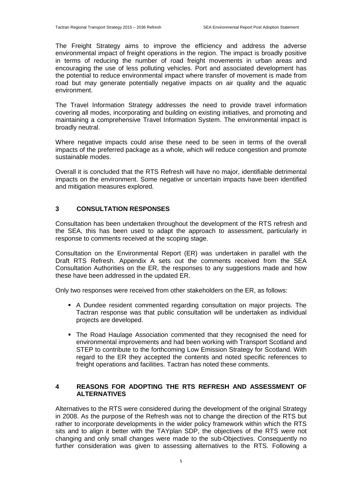The Freight Strategy aims to improve the efficiency and address the adverse environmental impact of freight operations in the region. The impact is broadly positive in terms of reducing the number of road freight movements in urban areas and encouraging the use of less polluting vehicles. Port and associated development has the potential to reduce environmental impact where transfer of movement is made from road but may generate potentially negative impacts on air quality and the aquatic environment.

The Travel Information Strategy addresses the need to provide travel information covering all modes, incorporating and building on existing initiatives, and promoting and maintaining a comprehensive Travel Information System. The environmental impact is broadly neutral.

Where negative impacts could arise these need to be seen in terms of the overall impacts of the preferred package as a whole, which will reduce congestion and promote sustainable modes.

Overall it is concluded that the RTS Refresh will have no major, identifiable detrimental impacts on the environment. Some negative or uncertain impacts have been identified and mitigation measures explored*.* 

#### **3 CONSULTATION RESPONSES**

Consultation has been undertaken throughout the development of the RTS refresh and the SEA, this has been used to adapt the approach to assessment, particularly in response to comments received at the scoping stage.

Consultation on the Environmental Report (ER) was undertaken in parallel with the Draft RTS Refresh. Appendix A sets out the comments received from the SEA Consultation Authorities on the ER, the responses to any suggestions made and how these have been addressed in the updated ER.

Only two responses were received from other stakeholders on the ER, as follows:

- A Dundee resident commented regarding consultation on major projects. The Tactran response was that public consultation will be undertaken as individual projects are developed.
- The Road Haulage Association commented that they recognised the need for environmental improvements and had been working with Transport Scotland and STEP to contribute to the forthcoming Low Emission Strategy for Scotland. With regard to the ER they accepted the contents and noted specific references to freight operations and facilities. Tactran has noted these comments.

# **4 REASONS FOR ADOPTING THE RTS REFRESH AND ASSESSMENT OF ALTERNATIVES**

Alternatives to the RTS were considered during the development of the original Strategy in 2008. As the purpose of the Refresh was not to change the direction of the RTS but rather to incorporate developments in the wider policy framework within which the RTS sits and to align it better with the TAYplan SDP, the objectives of the RTS were not changing and only small changes were made to the sub-Objectives. Consequently no further consideration was given to assessing alternatives to the RTS. Following a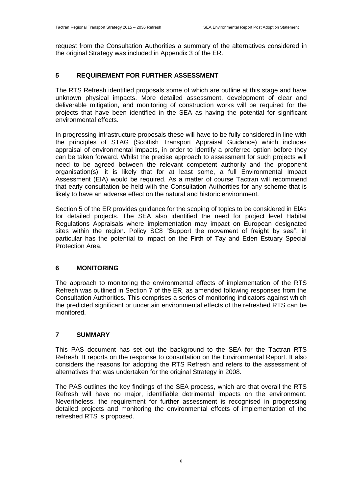request from the Consultation Authorities a summary of the alternatives considered in the original Strategy was included in Appendix 3 of the ER.

# **5 REQUIREMENT FOR FURTHER ASSESSMENT**

The RTS Refresh identified proposals some of which are outline at this stage and have unknown physical impacts. More detailed assessment, development of clear and deliverable mitigation, and monitoring of construction works will be required for the projects that have been identified in the SEA as having the potential for significant environmental effects.

In progressing infrastructure proposals these will have to be fully considered in line with the principles of STAG (Scottish Transport Appraisal Guidance) which includes appraisal of environmental impacts, in order to identify a preferred option before they can be taken forward. Whilst the precise approach to assessment for such projects will need to be agreed between the relevant competent authority and the proponent organisation(s), it is likely that for at least some, a full Environmental Impact Assessment (EIA) would be required. As a matter of course Tactran will recommend that early consultation be held with the Consultation Authorities for any scheme that is likely to have an adverse effect on the natural and historic environment.

Section 5 of the ER provides guidance for the scoping of topics to be considered in ElAs for detailed projects. The SEA also identified the need for project level Habitat Regulations Appraisals where implementation may impact on European designated sites within the region. Policy SC8 "Support the movement of freight by sea", in particular has the potential to impact on the Firth of Tay and Eden Estuary Special Protection Area.

# **6 MONITORING**

The approach to monitoring the environmental effects of implementation of the RTS Refresh was outlined in Section 7 of the ER, as amended following responses from the Consultation Authorities. This comprises a series of monitoring indicators against which the predicted significant or uncertain environmental effects of the refreshed RTS can be monitored.

# **7 SUMMARY**

This PAS document has set out the background to the SEA for the Tactran RTS Refresh. It reports on the response to consultation on the Environmental Report. It also considers the reasons for adopting the RTS Refresh and refers to the assessment of alternatives that was undertaken for the original Strategy in 2008.

The PAS outlines the key findings of the SEA process, which are that overall the RTS Refresh will have no major, identifiable detrimental impacts on the environment. Nevertheless, the requirement for further assessment is recognised in progressing detailed projects and monitoring the environmental effects of implementation of the refreshed RTS is proposed.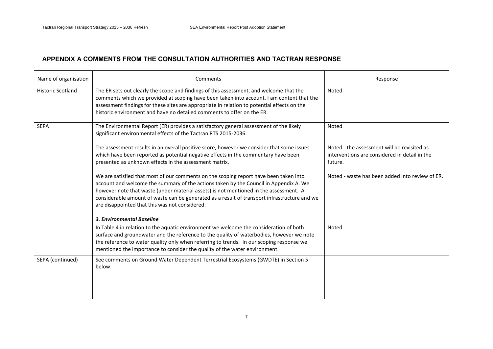# **APPENDIX A COMMENTS FROM THE CONSULTATION AUTHORITIES AND TACTRAN RESPONSE**

| Comments                                                                                                                                                                                                                                                                                                                                                                                                                  | Response                                                                                                |
|---------------------------------------------------------------------------------------------------------------------------------------------------------------------------------------------------------------------------------------------------------------------------------------------------------------------------------------------------------------------------------------------------------------------------|---------------------------------------------------------------------------------------------------------|
| The ER sets out clearly the scope and findings of this assessment, and welcome that the<br>comments which we provided at scoping have been taken into account. I am content that the<br>assessment findings for these sites are appropriate in relation to potential effects on the<br>historic environment and have no detailed comments to offer on the ER.                                                             | Noted                                                                                                   |
| The Environmental Report (ER) provides a satisfactory general assessment of the likely<br>significant environmental effects of the Tactran RTS 2015-2036.                                                                                                                                                                                                                                                                 | Noted                                                                                                   |
| The assessment results in an overall positive score, however we consider that some issues<br>which have been reported as potential negative effects in the commentary have been<br>presented as unknown effects in the assessment matrix.                                                                                                                                                                                 | Noted - the assessment will be revisited as<br>interventions are considered in detail in the<br>future. |
| We are satisfied that most of our comments on the scoping report have been taken into<br>account and welcome the summary of the actions taken by the Council in Appendix A. We<br>however note that waste (under material assets) is not mentioned in the assessment. A<br>considerable amount of waste can be generated as a result of transport infrastructure and we<br>are disappointed that this was not considered. | Noted - waste has been added into review of ER.                                                         |
| 3. Environmental Baseline<br>In Table 4 in relation to the aquatic environment we welcome the consideration of both<br>surface and groundwater and the reference to the quality of waterbodies, however we note<br>the reference to water quality only when referring to trends. In our scoping response we<br>mentioned the importance to consider the quality of the water environment.                                 | Noted                                                                                                   |
| See comments on Ground Water Dependent Terrestrial Ecosystems (GWDTE) in Section 5<br>below.                                                                                                                                                                                                                                                                                                                              |                                                                                                         |
|                                                                                                                                                                                                                                                                                                                                                                                                                           |                                                                                                         |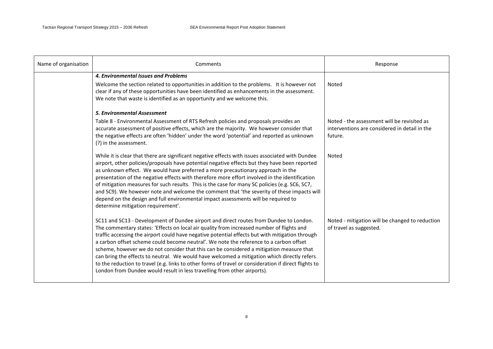| Name of organisation | Comments                                                                                                                                                                                                                                                                                                                                                                                                                                                                                                                                                                                                                                                                                                                                                         | Response                                                                                                |
|----------------------|------------------------------------------------------------------------------------------------------------------------------------------------------------------------------------------------------------------------------------------------------------------------------------------------------------------------------------------------------------------------------------------------------------------------------------------------------------------------------------------------------------------------------------------------------------------------------------------------------------------------------------------------------------------------------------------------------------------------------------------------------------------|---------------------------------------------------------------------------------------------------------|
|                      | 4. Environmental Issues and Problems<br>Welcome the section related to opportunities in addition to the problems. It is however not<br>clear if any of these opportunities have been identified as enhancements in the assessment.<br>We note that waste is identified as an opportunity and we welcome this.                                                                                                                                                                                                                                                                                                                                                                                                                                                    | Noted                                                                                                   |
|                      | <b>5. Environmental Assessment</b>                                                                                                                                                                                                                                                                                                                                                                                                                                                                                                                                                                                                                                                                                                                               |                                                                                                         |
|                      | Table 8 - Environmental Assessment of RTS Refresh policies and proposals provides an<br>accurate assessment of positive effects, which are the majority. We however consider that<br>the negative effects are often 'hidden' under the word 'potential' and reported as unknown<br>(?) in the assessment.                                                                                                                                                                                                                                                                                                                                                                                                                                                        | Noted - the assessment will be revisited as<br>interventions are considered in detail in the<br>future. |
|                      | While it is clear that there are significant negative effects with issues associated with Dundee<br>airport, other policies/proposals have potential negative effects but they have been reported<br>as unknown effect. We would have preferred a more precautionary approach in the<br>presentation of the negative effects with therefore more effort involved in the identification<br>of mitigation measures for such results. This is the case for many SC policies (e.g. SC6, SC7,<br>and SC9). We however note and welcome the comment that 'the severity of these impacts will<br>depend on the design and full environmental impact assessments will be required to<br>determine mitigation requirement'.                                               | Noted                                                                                                   |
|                      | SC11 and SC13 - Development of Dundee airport and direct routes from Dundee to London.<br>The commentary states: 'Effects on local air quality from increased number of flights and<br>traffic accessing the airport could have negative potential effects but with mitigation through<br>a carbon offset scheme could become neutral'. We note the reference to a carbon offset<br>scheme, however we do not consider that this can be considered a mitigation measure that<br>can bring the effects to neutral. We would have welcomed a mitigation which directly refers<br>to the reduction to travel (e.g. links to other forms of travel or consideration if direct flights to<br>London from Dundee would result in less travelling from other airports). | Noted - mitigation will be changed to reduction<br>of travel as suggested.                              |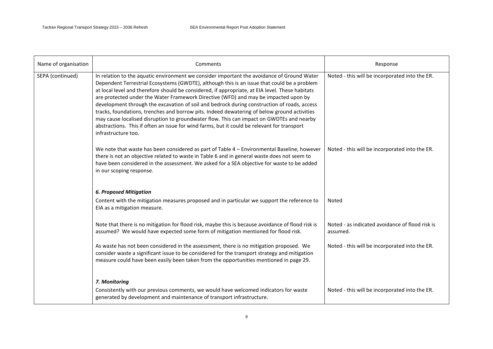| Name of organisation | Comments                                                                                                                                                                                                                                                                                                                                                                                                                                                                                                                                                                                                                                                                                                                                                                                            | Response                                                    |
|----------------------|-----------------------------------------------------------------------------------------------------------------------------------------------------------------------------------------------------------------------------------------------------------------------------------------------------------------------------------------------------------------------------------------------------------------------------------------------------------------------------------------------------------------------------------------------------------------------------------------------------------------------------------------------------------------------------------------------------------------------------------------------------------------------------------------------------|-------------------------------------------------------------|
| SEPA (continued)     | In relation to the aquatic environment we consider important the avoidance of Ground Water<br>Dependent Terrestrial Ecosystems (GWDTE), although this is an issue that could be a problem<br>at local level and therefore should be considered, if appropriate, at EIA level. These habitats<br>are protected under the Water Framework Directive (WFD) and may be impacted upon by<br>development through the excavation of soil and bedrock during construction of roads, access<br>tracks, foundations, trenches and borrow pits. Indeed dewatering of below ground activities<br>may cause localised disruption to groundwater flow. This can impact on GWDTEs and nearby<br>abstractions. This if often an issue for wind farms, but it could be relevant for transport<br>infrastructure too. | Noted - this will be incorporated into the ER.              |
|                      | We note that waste has been considered as part of Table 4 - Environmental Baseline, however<br>there is not an objective related to waste in Table 6 and in general waste does not seem to<br>have been considered in the assessment. We asked for a SEA objective for waste to be added<br>in our scoping response.                                                                                                                                                                                                                                                                                                                                                                                                                                                                                | Noted - this will be incorporated into the ER.              |
|                      | <b>6. Proposed Mitigation</b>                                                                                                                                                                                                                                                                                                                                                                                                                                                                                                                                                                                                                                                                                                                                                                       |                                                             |
|                      | Content with the mitigation measures proposed and in particular we support the reference to<br>EIA as a mitigation measure.                                                                                                                                                                                                                                                                                                                                                                                                                                                                                                                                                                                                                                                                         | Noted                                                       |
|                      | Note that there is no mitigation for flood risk, maybe this is because avoidance of flood risk is<br>assumed? We would have expected some form of mitigation mentioned for flood risk.                                                                                                                                                                                                                                                                                                                                                                                                                                                                                                                                                                                                              | Noted - as indicated avoidance of flood risk is<br>assumed. |
|                      | As waste has not been considered in the assessment, there is no mitigation proposed. We<br>consider waste a significant issue to be considered for the transport strategy and mitigation<br>measure could have been easily been taken from the opportunities mentioned in page 29.                                                                                                                                                                                                                                                                                                                                                                                                                                                                                                                  | Noted - this will be incorporated into the ER.              |
|                      | 7. Monitoring                                                                                                                                                                                                                                                                                                                                                                                                                                                                                                                                                                                                                                                                                                                                                                                       |                                                             |
|                      | Consistently with our previous comments, we would have welcomed indicators for waste<br>generated by development and maintenance of transport infrastructure.                                                                                                                                                                                                                                                                                                                                                                                                                                                                                                                                                                                                                                       | Noted - this will be incorporated into the ER.              |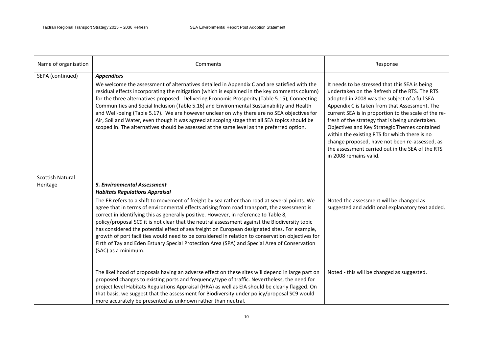| Name of organisation                | Comments                                                                                                                                                                                                                                                                                                                                                                                                                                                                                                                                                                                                                                                                                                                                                                                          | Response                                                                                                                                                                                                                                                                                                                                                                                                                                                                                                                                        |
|-------------------------------------|---------------------------------------------------------------------------------------------------------------------------------------------------------------------------------------------------------------------------------------------------------------------------------------------------------------------------------------------------------------------------------------------------------------------------------------------------------------------------------------------------------------------------------------------------------------------------------------------------------------------------------------------------------------------------------------------------------------------------------------------------------------------------------------------------|-------------------------------------------------------------------------------------------------------------------------------------------------------------------------------------------------------------------------------------------------------------------------------------------------------------------------------------------------------------------------------------------------------------------------------------------------------------------------------------------------------------------------------------------------|
| SEPA (continued)                    | <b>Appendices</b><br>We welcome the assessment of alternatives detailed in Appendix C and are satisfied with the<br>residual effects incorporating the mitigation (which is explained in the key comments column)<br>for the three alternatives proposed: Delivering Economic Prosperity (Table 5.15), Connecting<br>Communities and Social Inclusion (Table 5.16) and Environmental Sustainability and Health<br>and Well-being (Table 5.17). We are however unclear on why there are no SEA objectives for<br>Air, Soil and Water, even though it was agreed at scoping stage that all SEA topics should be<br>scoped in. The alternatives should be assessed at the same level as the preferred option.                                                                                        | It needs to be stressed that this SEA is being<br>undertaken on the Refresh of the RTS. The RTS<br>adopted in 2008 was the subject of a full SEA.<br>Appendix C is taken from that Assessment. The<br>current SEA is in proportion to the scale of the re-<br>fresh of the strategy that is being undertaken.<br>Objectives and Key Strategic Themes contained<br>within the existing RTS for which there is no<br>change proposed, have not been re-assessed, as<br>the assessment carried out in the SEA of the RTS<br>in 2008 remains valid. |
| <b>Scottish Natural</b><br>Heritage | <b>5. Environmental Assessment</b><br><b>Habitats Regulations Appraisal</b><br>The ER refers to a shift to movement of freight by sea rather than road at several points. We<br>agree that in terms of environmental effects arising from road transport, the assessment is<br>correct in identifying this as generally positive. However, in reference to Table 8,<br>policy/proposal SC9 it is not clear that the neutral assessment against the Biodiversity topic<br>has considered the potential effect of sea freight on European designated sites. For example,<br>growth of port facilities would need to be considered in relation to conservation objectives for<br>Firth of Tay and Eden Estuary Special Protection Area (SPA) and Special Area of Conservation<br>(SAC) as a minimum. | Noted the assessment will be changed as<br>suggested and additional explanatory text added.                                                                                                                                                                                                                                                                                                                                                                                                                                                     |
|                                     | The likelihood of proposals having an adverse effect on these sites will depend in large part on<br>proposed changes to existing ports and frequency/type of traffic. Nevertheless, the need for<br>project level Habitats Regulations Appraisal (HRA) as well as EIA should be clearly flagged. On<br>that basis, we suggest that the assessment for Biodiversity under policy/proposal SC9 would<br>more accurately be presented as unknown rather than neutral.                                                                                                                                                                                                                                                                                                                                | Noted - this will be changed as suggested.                                                                                                                                                                                                                                                                                                                                                                                                                                                                                                      |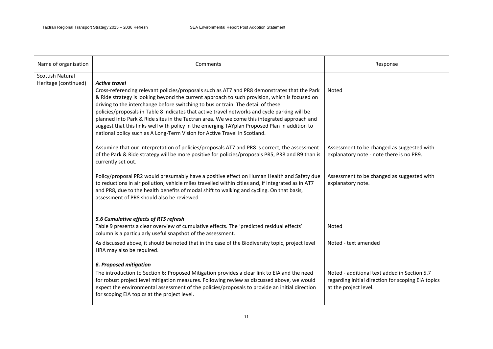| Name of organisation                            | Comments                                                                                                                                                                                                                                                                                                                                                                                                                                                                                                                                                                                                                                                                                | Response                                                                                                                    |
|-------------------------------------------------|-----------------------------------------------------------------------------------------------------------------------------------------------------------------------------------------------------------------------------------------------------------------------------------------------------------------------------------------------------------------------------------------------------------------------------------------------------------------------------------------------------------------------------------------------------------------------------------------------------------------------------------------------------------------------------------------|-----------------------------------------------------------------------------------------------------------------------------|
| <b>Scottish Natural</b><br>Heritage (continued) | <b>Active travel</b><br>Cross-referencing relevant policies/proposals such as AT7 and PR8 demonstrates that the Park<br>& Ride strategy is looking beyond the current approach to such provision, which is focused on<br>driving to the interchange before switching to bus or train. The detail of these<br>policies/proposals in Table 8 indicates that active travel networks and cycle parking will be<br>planned into Park & Ride sites in the Tactran area. We welcome this integrated approach and<br>suggest that this links well with policy in the emerging TAYplan Proposed Plan in addition to<br>national policy such as A Long-Term Vision for Active Travel in Scotland. | Noted                                                                                                                       |
|                                                 | Assuming that our interpretation of policies/proposals AT7 and PR8 is correct, the assessment<br>of the Park & Ride strategy will be more positive for policies/proposals PR5, PR8 and R9 than is<br>currently set out.                                                                                                                                                                                                                                                                                                                                                                                                                                                                 | Assessment to be changed as suggested with<br>explanatory note - note there is no PR9.                                      |
|                                                 | Policy/proposal PR2 would presumably have a positive effect on Human Health and Safety due<br>to reductions in air pollution, vehicle miles travelled within cities and, if integrated as in AT7<br>and PR8, due to the health benefits of modal shift to walking and cycling. On that basis,<br>assessment of PR8 should also be reviewed.                                                                                                                                                                                                                                                                                                                                             | Assessment to be changed as suggested with<br>explanatory note.                                                             |
|                                                 | 5.6 Cumulative effects of RTS refresh<br>Table 9 presents a clear overview of cumulative effects. The 'predicted residual effects'<br>column is a particularly useful snapshot of the assessment.                                                                                                                                                                                                                                                                                                                                                                                                                                                                                       | Noted                                                                                                                       |
|                                                 | As discussed above, it should be noted that in the case of the Biodiversity topic, project level<br>HRA may also be required.                                                                                                                                                                                                                                                                                                                                                                                                                                                                                                                                                           | Noted - text amended                                                                                                        |
|                                                 | <b>6. Proposed mitigation</b><br>The introduction to Section 6: Proposed Mitigation provides a clear link to EIA and the need<br>for robust project level mitigation measures. Following review as discussed above, we would<br>expect the environmental assessment of the policies/proposals to provide an initial direction<br>for scoping EIA topics at the project level.                                                                                                                                                                                                                                                                                                           | Noted - additional text added in Section 5.7<br>regarding initial direction for scoping EIA topics<br>at the project level. |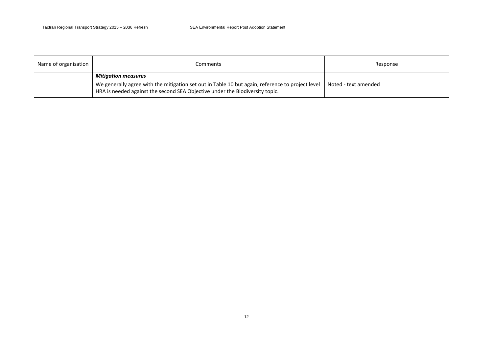| Name of organisation | Comments                                                                                                                                                                                                       | Response             |
|----------------------|----------------------------------------------------------------------------------------------------------------------------------------------------------------------------------------------------------------|----------------------|
|                      | <b>Mitigation measures</b><br>We generally agree with the mitigation set out in Table 10 but again, reference to project level<br>HRA is needed against the second SEA Objective under the Biodiversity topic. | Noted - text amended |